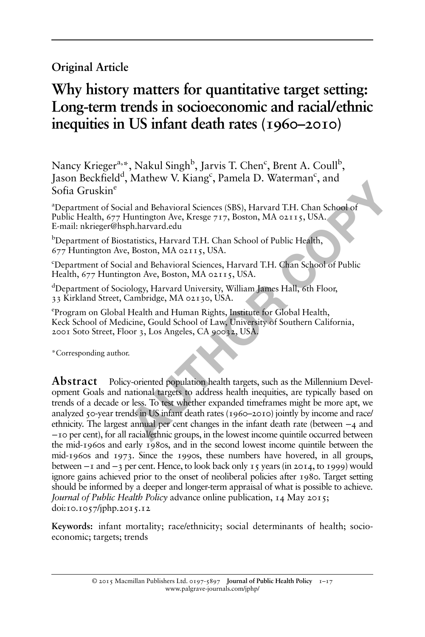# Original Article

# Why history matters for quantitative target setting: Long-term trends in socioeconomic and racial/ethnic inequities in US infant death rates (1960–2010)

Nancy Krieger<sup>a,</sup>\*, Nakul Singh<sup>b</sup>, Jarvis T. Chen<sup>c</sup>, Brent A. Coull<sup>b</sup>, Jason Beckfield<sup>d</sup>, Mathew V. Kiang<sup>c</sup>, Pamela D. Waterman<sup>c</sup>, and Sofia Gruskine

a Department of Social and Behavioral Sciences (SBS), Harvard T.H. Chan School of Public Health, 677 Huntington Ave, Kresge 717, Boston, MA 02115, USA. E-mail: [nkrieger@hsph.harvard.edu](mailto:nkrieger@hsph.harvard.edu)

<sup>b</sup>Department of Biostatistics, Harvard T.H. Chan School of Public Health, 677 Huntington Ave, Boston, MA 02115, USA.

c Department of Social and Behavioral Sciences, Harvard T.H. Chan School of Public Health, 677 Huntington Ave, Boston, MA 02115, USA.

<sup>d</sup>Department of Sociology, Harvard University, William James Hall, 6th Floor, 33 Kirkland Street, Cambridge, MA 02130, USA.

e Program on Global Health and Human Rights, Institute for Global Health, Keck School of Medicine, Gould School of Law, University of Southern California, 2001 Soto Street, Floor 3, Los Angeles, CA 90032, USA.

\*Corresponding author.

**Example 12**<br> **Example 12**<br> **Example 12**<br> **Example 12**<br> **Example 12**<br> **AUTE 12**<br> **AUTE 12**<br> **AUTE 12**<br> **AUTE 12**<br> **AUTE 12**<br> **AUTE 12**<br> **AUTE 12**<br> **AUTE 12**<br> **AUTE 12**<br> **AUTE 12**<br> **AUTE 12**<br> **AUTE 12**<br> **AUTE 12**<br> **AUTE 12** Abstract Policy-oriented population health targets, such as the Millennium Development Goals and national targets to address health inequities, are typically based on trends of a decade or less. To test whether expanded timeframes might be more apt, we analyzed 50-year trends in US infant death rates (1960–2010) jointly by income and race/ ethnicity. The largest annual per cent changes in the infant death rate (between −4 and −10 per cent), for all racial/ethnic groups, in the lowest income quintile occurred between the mid-1960s and early 1980s, and in the second lowest income quintile between the mid-1960s and 1973. Since the 1990s, these numbers have hovered, in all groups, between −1 and −3 per cent. Hence, to look back only 15 years (in 2014, to 1999) would ignore gains achieved prior to the onset of neoliberal policies after 1980. Target setting should be informed by a deeper and longer-term appraisal of what is possible to achieve. Journal of Public Health Policy advance online publication, 14 May 2015; doi:[10.1057/jphp.2015.12](http://dx.doi.org/10.1057/jphp.2015.12)

Keywords: infant mortality; race/ethnicity; social determinants of health; socioeconomic; targets; trends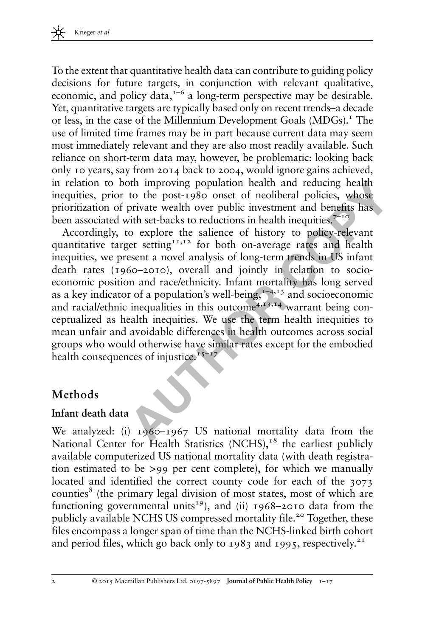To the extent that quantitative health data can contribute to guiding policy decisions for future targets, in conjunction with relevant qualitative, economic, and policy data, $1-6$  a long-term perspective may be desirable. Yet, quantitative targets are typically based only on recent trends–a decade or less, in the case of the Millennium Development Goals (MDGs).<sup>1</sup> The use of limited time frames may be in part because current data may seem most immediately relevant and they are also most readily available. Such reliance on short-term data may, however, be problematic: looking back only 10 years, say from 2014 back to 2004, would ignore gains achieved, in relation to both improving population health and reducing health inequities, prior to the post-1980 onset of neoliberal policies, whose prioritization of private wealth over public investment and benefits has been associated with set-backs to reductions in health inequities.<sup> $7-10$ </sup>

1 to both improving population health and reducing health<br>
prior to the post-1980 onset of neoliberal policies, whose<br>
ion of private wealth over public investment and benefits has<br>
aiated with set-backs to reducions in he Accordingly, to explore the salience of history to policy-relevant quantitative target setting $11,12$  for both on-average rates and health inequities, we present a novel analysis of long-term trends in US infant death rates (1960–2010), overall and jointly in relation to socioeconomic position and race/ethnicity. Infant mortality has long served as a key indicator of a population's well-being, $1-4,13$  and socioeconomic and racial/ethnic inequalities in this outcome  $4,13,14$  warrant being conceptualized as health inequities. We use the term health inequities to mean unfair and avoidable differences in health outcomes across social groups who would otherwise have similar rates except for the embodied health consequences of injustice.<sup>15–17</sup>

## Methods

#### Infant death data

We analyzed: (i) 1960–1967 US national mortality data from the National Center for Health Statistics  $(NCHS)$ ,<sup>18</sup> the earliest publicly available computerized US national mortality data (with death registration estimated to be >99 per cent complete), for which we manually located and identified the correct county code for each of the 3073 counties<sup>8</sup> (the primary legal division of most states, most of which are functioning governmental units<sup>19</sup>), and (ii) 1968-2010 data from the publicly available NCHS US compressed mortality file.<sup>20</sup> Together, these files encompass a longer span of time than the NCHS-linked birth cohort and period files, which go back only to 1983 and 1995, respectively.<sup>21</sup>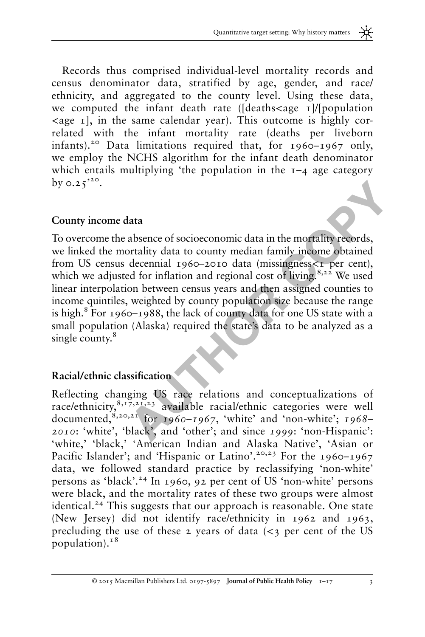Records thus comprised individual-level mortality records and census denominator data, stratified by age, gender, and race/ ethnicity, and aggregated to the county level. Using these data, we computed the infant death rate ( $\frac{1}{\text{deaths}}$  / $\frac{1}{\text{population}}$ )  $\langle$ age 1], in the same calendar year). This outcome is highly correlated with the infant mortality rate (deaths per liveborn infants).<sup>20</sup> Data limitations required that, for  $1960-1967$  only, we employ the NCHS algorithm for the infant death denominator which entails multiplying 'the population in the  $I-4$  age category by  $0.25$ <sup>20</sup>.

#### County income data

**Example 12**<br> **Example 12**<br> **Example 12**<br> **Example 12**<br> **Example 12**<br> **Example 12**<br> **Example 1206-2010 data in the mortality records,**<br> **Adjusted for inflation and regional cost of living.**<sup>8,3,22</sup> We used<br> **Proposition** To overcome the absence of socioeconomic data in the mortality records, we linked the mortality data to county median family income obtained from US census decennial 1960–2010 data (missingness<1 per cent), which we adjusted for inflation and regional cost of living.<sup>8,22</sup> We used linear interpolation between census years and then assigned counties to income quintiles, weighted by county population size because the range is high.8 For 1960–1988, the lack of county data for one US state with a small population (Alaska) required the state's data to be analyzed as a single county.<sup>8</sup>

#### Racial/ethnic classification

Reflecting changing US race relations and conceptualizations of race/ethnicity,  $8,17,21,23$  available racial/ethnic categories were well documented, $8,20,21$  for 1960–1967, 'white' and 'non-white'; 1968– 2010: 'white', 'black', and 'other'; and since 1999: 'non-Hispanic': 'white,' 'black,' 'American Indian and Alaska Native', 'Asian or Pacific Islander'; and 'Hispanic or Latino'.<sup>20,23</sup> For the 1960-1967 data, we followed standard practice by reclassifying 'non-white' persons as 'black'. <sup>24</sup> In 1960, 92 per cent of US 'non-white' persons were black, and the mortality rates of these two groups were almost identical.<sup>24</sup> This suggests that our approach is reasonable. One state (New Jersey) did not identify race/ethnicity in 1962 and 1963, precluding the use of these 2 years of data  $\langle \langle 3 \rangle$  per cent of the US population). $18$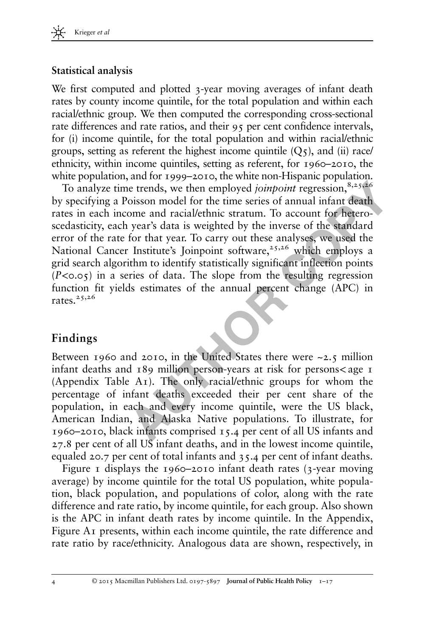#### Statistical analysis

We first computed and plotted 3-year moving averages of infant death rates by county income quintile, for the total population and within each racial/ethnic group. We then computed the corresponding cross-sectional rate differences and rate ratios, and their 95 per cent confidence intervals, for (i) income quintile, for the total population and within racial/ethnic groups, setting as referent the highest income quintile  $(Q_5)$ , and (ii) race/ ethnicity, within income quintiles, setting as referent, for 1960–2010, the white population, and for 1999–2010, the white non-Hispanic population.

yze time trends, we then employed *joinpoint* regression,<sup>8,253</sup>es<br>ing a Poisson model for the time series of annual infant death<br>cach income and racial/ethinic stratum. To account for hetero-<br>cy, each year's data is weigh To analyze time trends, we then employed *joinpoint* regression,  $8,25,26$ by specifying a Poisson model for the time series of annual infant death rates in each income and racial/ethnic stratum. To account for heteroscedasticity, each year's data is weighted by the inverse of the standard error of the rate for that year. To carry out these analyses, we used the National Cancer Institute's Joinpoint software,<sup>25,26</sup> which employs a grid search algorithm to identify statistically significant inflection points  $(P<0.05)$  in a series of data. The slope from the resulting regression function fit yields estimates of the annual percent change (APC) in rates. $25,26$ 

## Findings

Between 1960 and 2010, in the United States there were ~2.5 million infant deaths and  $189$  million person-years at risk for persons $\lt$ age 1 (Appendix [Table A1\)](#page-16-0). The only racial/ethnic groups for whom the percentage of infant deaths exceeded their per cent share of the population, in each and every income quintile, were the US black, American Indian, and Alaska Native populations. To illustrate, for 1960–2010, black infants comprised 15.4 per cent of all US infants and 27.8 per cent of all US infant deaths, and in the lowest income quintile, equaled 20.7 per cent of total infants and 35.4 per cent of infant deaths.

[Figure 1](#page-4-0) displays the 1960–2010 infant death rates  $(3$ -year moving average) by income quintile for the total US population, white population, black population, and populations of color, along with the rate difference and rate ratio, by income quintile, for each group. Also shown is the APC in infant death rates by income quintile. In the Appendix, Figure A<sub>I</sub> presents, within each income quintile, the rate difference and rate ratio by race/ethnicity. Analogous data are shown, respectively, in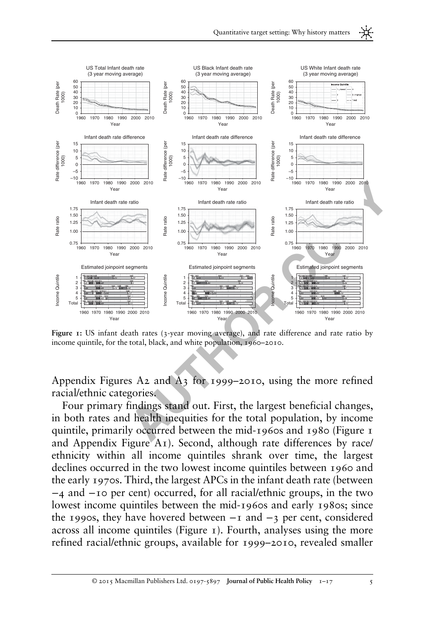<span id="page-4-0"></span>

Figure 1: US infant death rates (3-year moving average), and rate difference and rate ratio by income quintile, for the total, black, and white population, 1960–2010.

Appendix [Figures A2 and A3](#page-14-0) for 1999–2010, using the more refined racial/ethnic categories.

Four primary findings stand out. First, the largest beneficial changes, in both rates and health inequities for the total population, by income quintile, primarily occurred between the mid-1960s and 1980 (Figure 1 and Appendix [Figure A1\)](#page-14-0). Second, although rate differences by race/ ethnicity within all income quintiles shrank over time, the largest declines occurred in the two lowest income quintiles between 1960 and the early 1970s. Third, the largest APCs in the infant death rate (between −4 and −10 per cent) occurred, for all racial/ethnic groups, in the two lowest income quintiles between the mid-1960s and early 1980s; since the 1990s, they have hovered between  $-1$  and  $-3$  per cent, considered across all income quintiles (Figure 1). Fourth, analyses using the more refined racial/ethnic groups, available for 1999–2010, revealed smaller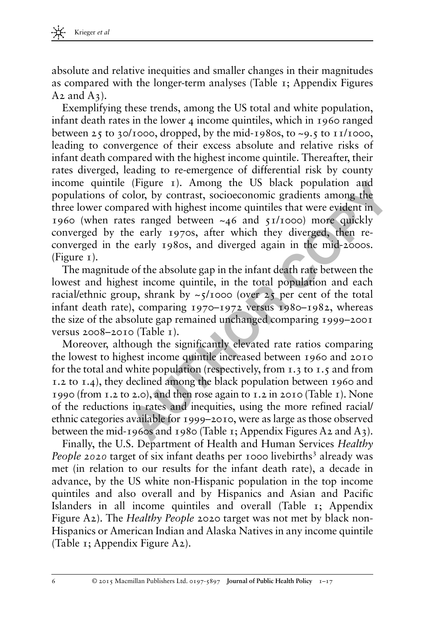absolute and relative inequities and smaller changes in their magnitudes as compared with the longer-term analyses [\(Table 1;](#page-6-0) Appendix [Figures](#page-14-0)  $A_2$  and  $A_3$ ).

Exemplifying these trends, among the US total and white population, infant death rates in the lower 4 income quintiles, which in 1960 ranged between 25 to 30/1000, dropped, by the mid-1980s, to  $\sim$ 9.5 to 11/1000, leading to convergence of their excess absolute and relative risks of infant death compared with the highest income quintile. Thereafter, their rates diverged, leading to re-emergence of differential risk by county income quintile ([Figure 1](#page-4-0)). Among the US black population and populations of color, by contrast, socioeconomic gradients among the three lower compared with highest income quintiles that were evident in 1960 (when rates ranged between  $\sim$ 46 and 51/1000) more quickly converged by the early 1970s, after which they diverged, then reconverged in the early 1980s, and diverged again in the mid-2000s.  $(Figure I).$ 

The magnitude of the absolute gap in the infant death rate between the lowest and highest income quintile, in the total population and each racial/ethnic group, shrank by  $\sim$ 5/1000 (over 25 per cent of the total infant death rate), comparing 1970–1972 versus 1980–1982, whereas the size of the absolute gap remained unchanged comparing 1999–2001 versus 2008–2010 (Table 1).

unntile (trigure 1). Among the US black population and<br>ns of color, by contrast, socioecomonic gradients among the<br>r compared with highest income quintiles that were evident in<br>len rates ranged between ~46 and 51/1000) mor Moreover, although the significantly elevated rate ratios comparing the lowest to highest income quintile increased between 1960 and 2010 for the total and white population (respectively, from 1.3 to 1.5 and from 1.2 to 1.4), they declined among the black population between 1960 and 1990 (from 1.2 to 2.0), and then rose again to 1.2 in 2010 (Table 1). None of the reductions in rates and inequities, using the more refined racial/ ethnic categories available for 1999–2010, were as large as those observed between the mid-1960s and 1980 (Table 1; Appendix Figures A2 and A3).

Finally, the U.S. Department of Health and Human Services Healthy *People* 2020 target of six infant deaths per 1000 livebirths<sup>3</sup> already was met (in relation to our results for the infant death rate), a decade in advance, by the US white non-Hispanic population in the top income quintiles and also overall and by Hispanics and Asian and Pacific Islanders in all income quintiles and overall [\(Table 1](#page-6-0); Appendix [Figure A2](#page-14-0)). The *Healthy People* 2020 target was not met by black non-Hispanics or American Indian and Alaska Natives in any income quintile [\(Table 1;](#page-6-0) Appendix [Figure A2\)](#page-14-0).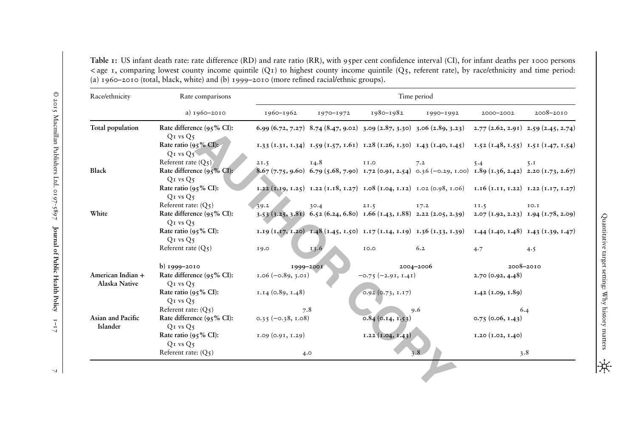<span id="page-6-0"></span>Table 1: US infant death rate: rate difference (RD) and rate ratio (RR), with 95per cent confidence interval (CI), for infant deaths per <sup>1000</sup> persons  $\langle$  age 1, comparing lowest county income quintile (Q1) to highest county income quintile (Q5, referent rate), by race/ethnicity and time period: (a) 1960–<sup>2010</sup> (total, black, white) and (b) <sup>1999</sup>–<sup>2010</sup> (more refined racial/ethnic groups).

| Race/ethnicity                     | Rate comparisons                          | Time period          |           |                       |                                                                                                                              |                                       |           |  |  |  |  |
|------------------------------------|-------------------------------------------|----------------------|-----------|-----------------------|------------------------------------------------------------------------------------------------------------------------------|---------------------------------------|-----------|--|--|--|--|
|                                    | a) 1960-2010                              | 1960-1962            | 1970-1972 | 1980-1982             | 1990-1992                                                                                                                    | 2000-2002                             | 2008-2010 |  |  |  |  |
| Total population                   | Rate difference $(95\% \text{ CI})$ :     |                      |           |                       | 6.99 (6.72, 7.27) 8.74 (8.47, 9.02) 3.09 (2.87, 3.30) 3.06 (2.89, 3.23) 2.77 (2.62, 2.91) 2.59 (2.45, 2.74)                  |                                       |           |  |  |  |  |
|                                    | $QI$ vs $Q5$                              |                      |           |                       |                                                                                                                              |                                       |           |  |  |  |  |
|                                    | Rate ratio ( $95\%$ CI):                  |                      |           |                       | 1,33 (1,31, 1,34) 1,59 (1,57, 1,61) 1,28 (1,26, 1,30) 1,43 (1,40, 1,45) 1,52 (1,48, 1,55) 1,51 (1,47, 1,54)                  |                                       |           |  |  |  |  |
|                                    | $QI$ vs $Q_5$                             |                      |           |                       |                                                                                                                              |                                       |           |  |  |  |  |
| Black                              | Referent rate $(Q_5)$                     | 21.5                 | 14.8      | <b>II.O</b>           | 7.2                                                                                                                          | 5.4                                   | 5.1       |  |  |  |  |
|                                    | Rate difference $(95\% \text{ CI})$ :     |                      |           |                       | 8.67 (7.75, 9.60) 6.79 (5.68, 7.90) 1.72 (0.91, 2.54) 0.36 (-0.29, 1.00) 1.89 (1.36, 2.42) 2.20 (1.73, 2.67)                 |                                       |           |  |  |  |  |
|                                    | $QI$ vs $Q5$<br>Rate ratio ( $95\%$ CI):  |                      |           |                       | 1.22 $(T, I9, I.25)$ 1.22 $(T, I8, I.27)$ 1.08 $(T, 04, I.12)$ 1.02 $(0.98, I.06)$ 1.16 $(T, I1, I.22)$ 1.22 $(T, I7, I.27)$ |                                       |           |  |  |  |  |
|                                    | $QI$ vs $Q5$                              |                      |           |                       |                                                                                                                              |                                       |           |  |  |  |  |
|                                    | Referent rate: $(O_5)$                    | 39.2                 | 30.4      | 21.5                  | I7.2                                                                                                                         | II.5                                  | IO.I      |  |  |  |  |
| White                              | Rate difference (95% CI):                 |                      |           |                       | $(3.53(3.25), 3.81)$ 6.52 (6.24, 6.80) 1.66 (1.43, 1.88) 2.22 (2.05, 2.39)                                                   | $2.07(1.92, 2.23)$ $1.94(1.78, 2.09)$ |           |  |  |  |  |
|                                    | $QI$ vs $Q5$                              |                      |           |                       |                                                                                                                              |                                       |           |  |  |  |  |
|                                    | Rate ratio (95% CI):                      |                      |           |                       | 1.19 (1.47, 1.20) -1.48 (1.45, 1.50) 1.17 (1.14, 1.19) 1.36 (1.33, 1.39) 1.44 (1.40, 1.48) 1.43 (1.39, 1.47)                 |                                       |           |  |  |  |  |
|                                    | $QI$ vs $Q5$                              |                      |           |                       |                                                                                                                              |                                       |           |  |  |  |  |
|                                    | Referent rate $(Q_5)$                     | 19.0                 | 13.6      | 10.0                  | 6.2                                                                                                                          | 4.7                                   | 4.5       |  |  |  |  |
|                                    |                                           |                      |           |                       |                                                                                                                              |                                       |           |  |  |  |  |
|                                    | b) 1999-2010                              |                      | 1999-2001 |                       | 2004-2006                                                                                                                    | 2008-2010                             |           |  |  |  |  |
| American Indian +<br>Alaska Native | Rate difference (95% CI):<br>$QI$ vs $Q5$ | $1.06 (-0.89, 3.01)$ |           | $-0.75 (-2.91, 1.41)$ |                                                                                                                              | 2.70(0.92, 4.48)                      |           |  |  |  |  |
|                                    | Rate ratio ( $95\%$ CI):<br>$QI$ vs $Q5$  | I.I4(0.89, I.48)     |           | $0.92$ (0.73, 1.17)   |                                                                                                                              | $1.42$ (1.09, 1.89)                   |           |  |  |  |  |
|                                    | Referent rate: $(Q_5)$                    |                      | 7.8       |                       | 9.6                                                                                                                          |                                       | 6.4       |  |  |  |  |
| Asian and Pacific                  | Rate difference (95% CI):                 | $0.35 (-0.38, 1.08)$ |           | $0.84$ (0.14, 1.53)   |                                                                                                                              | 0.75(0.06, 1.43)                      |           |  |  |  |  |
| Islander                           | $QI$ vs $Q5$                              |                      |           |                       |                                                                                                                              |                                       |           |  |  |  |  |
|                                    | Rate ratio ( $95\%$ CI):                  | 1.09(0.91, 1.29)     |           | $1.22$ $(1.04, 1.43)$ |                                                                                                                              | I.20 (I.02, I.40)                     |           |  |  |  |  |
|                                    | $QI$ vs $Q5$                              |                      |           |                       |                                                                                                                              |                                       |           |  |  |  |  |
|                                    | Referent rate: $(Q_5)$                    |                      | 4.0       |                       | 3.8                                                                                                                          | 3.8                                   |           |  |  |  |  |

 $\mathbb{Z}^2$ 

IЖ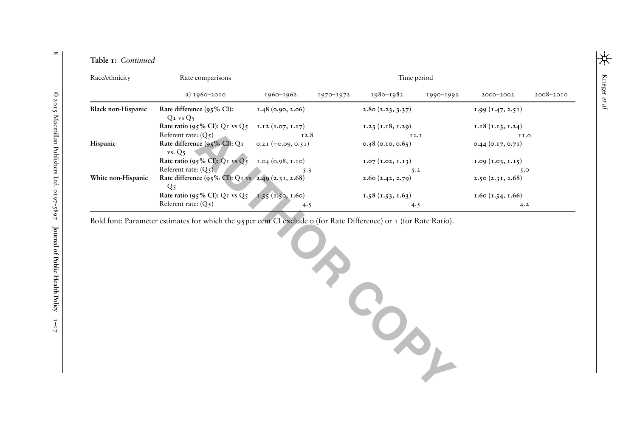|  | Table 1: Continued |
|--|--------------------|
|  |                    |

| Race/ethnicity     | Rate comparisons                                                    | Time period          |           |                     |           |                     |           |  |  |  |  |
|--------------------|---------------------------------------------------------------------|----------------------|-----------|---------------------|-----------|---------------------|-----------|--|--|--|--|
|                    | a) 1960-2010                                                        | 1960-1962            | 1970-1972 | 1980-1982           | 1990-1992 | 2000-2002           | 2008-2010 |  |  |  |  |
| Black non-Hispanic | Rate difference $(95\% \text{ CI})$ :<br>$QI$ vs $Q5$               | 1.48(0.90, 2.06)     |           | 2.80(2.23, 3.37)    |           | 1.99(1.47, 2.51)    |           |  |  |  |  |
|                    | Rate ratio (95% CI): $Q_I$ vs $Q_5$                                 | I.I2 (I.07, I.I7)    |           | I.23 (I.18, I.29)   |           | I.I8 (I.I3, I.24)   |           |  |  |  |  |
|                    | Referent rate: $(O_5)$                                              | 12.8                 |           | I2.I                |           | 11.0                |           |  |  |  |  |
| Hispanic           | Rate difference (95% CI): $Q_I$<br>vs. Q5                           | $0.2I (-0.09, 0.5I)$ |           | $0.38$ (0.10, 0.65) |           | $0.44$ (0.17, 0.71) |           |  |  |  |  |
|                    | Rate ratio (95% CI): Q1 vs Q5                                       | 1.04(0.98, 1.10)     |           | 1.07(1.02, 1.13)    |           | 1.09(1.03, 1.15)    |           |  |  |  |  |
|                    | Referent rate: $(O_5)$                                              | $5 - 3$              |           | 5.2                 |           | 5.0                 |           |  |  |  |  |
| White non-Hispanic | Rate difference (95% CI): Q1 vs 2.49 (2.31, 2.68)<br>Q <sub>5</sub> |                      |           | 2.60(2.42, 2.79)    |           | 2.50(2.31, 2.68)    |           |  |  |  |  |
|                    | Rate ratio (95% CI): Q1 vs $Q_5$                                    | $1.55$ (1.50, 1.60)  |           | 1.58(1.53, 1.63)    |           | $1.60$ (1.54, 1.66) |           |  |  |  |  |
|                    | Referent rate: $(O_5)$                                              | 4.5                  |           | 4.5                 |           | 4.2                 |           |  |  |  |  |

 **AUTHOR COPY**

Bold font: Parameter estimates for which the 95per cent CI exclude 0 (for Rate Difference) or 1 (for Rate Ratio).

 $\infty$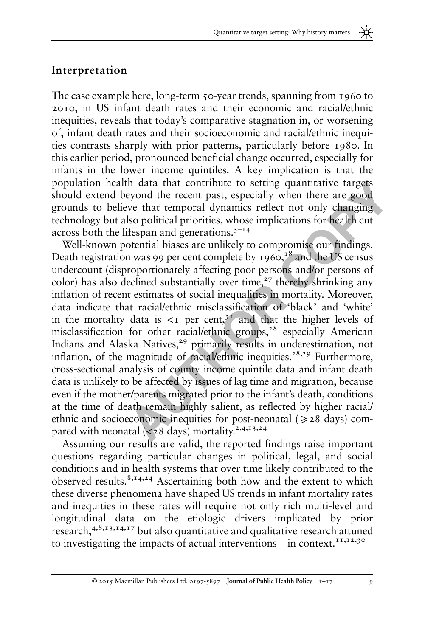#### Interpretation

The case example here, long-term 50-year trends, spanning from 1960 to 2010, in US infant death rates and their economic and racial/ethnic inequities, reveals that today's comparative stagnation in, or worsening of, infant death rates and their socioeconomic and racial/ethnic inequities contrasts sharply with prior patterns, particularly before 1980. In this earlier period, pronounced beneficial change occurred, especially for infants in the lower income quintiles. A key implication is that the population health data that contribute to setting quantitative targets should extend beyond the recent past, especially when there are good grounds to believe that temporal dynamics reflect not only changing technology but also political priorities, whose implications for health cut across both the lifespan and generations. $5<sup>-14</sup>$ 

n health data that contribute to setting quantitative targets<br>
tend beyond the recent past, especially when there are good<br>
co believe that temporal dynamics reflect not only changing<br>
y but also political priorities, who Well-known potential biases are unlikely to compromise our findings. Death registration was 99 per cent complete by  $1960$ ,  $18$  and the US census undercount (disproportionately affecting poor persons and/or persons of color) has also declined substantially over time, $27$  thereby shrinking any inflation of recent estimates of social inequalities in mortality. Moreover, data indicate that racial/ethnic misclassification of 'black' and 'white' in the mortality data is  $\leq$ I per cent,<sup>31</sup> and that the higher levels of misclassification for other racial/ethnic groups,<sup>28</sup> especially American Indians and Alaska Natives,<sup>29</sup> primarily results in underestimation, not inflation, of the magnitude of racial/ethnic inequities.<sup>28,29</sup> Furthermore, cross-sectional analysis of county income quintile data and infant death data is unlikely to be affected by issues of lag time and migration, because even if the mother/parents migrated prior to the infant's death, conditions at the time of death remain highly salient, as reflected by higher racial/ ethnic and socioeconomic inequities for post-neonatal ( $\geq 28$  days) compared with neonatal  $\left( < 28 \text{ days} \right)$  mortality.<sup>2,4,13,24</sup>

Assuming our results are valid, the reported findings raise important questions regarding particular changes in political, legal, and social conditions and in health systems that over time likely contributed to the observed results.8,14,24 Ascertaining both how and the extent to which these diverse phenomena have shaped US trends in infant mortality rates and inequities in these rates will require not only rich multi-level and longitudinal data on the etiologic drivers implicated by prior research,4,8,13,14,17 but also quantitative and qualitative research attuned to investigating the impacts of actual interventions – in context.<sup>11,12,30</sup>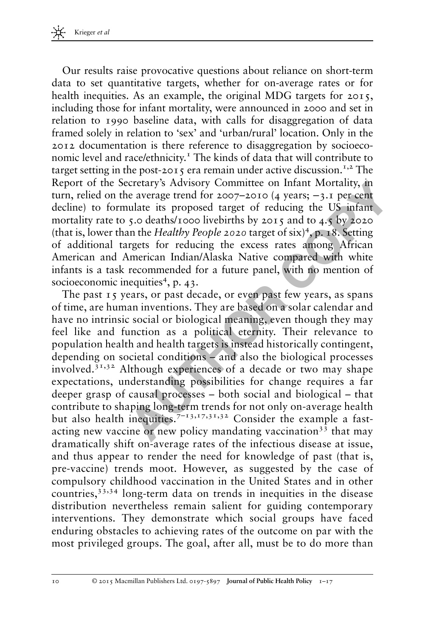Our results raise provocative questions about reliance on short-term data to set quantitative targets, whether for on-average rates or for health inequities. As an example, the original MDG targets for 2015, including those for infant mortality, were announced in 2000 and set in relation to 1990 baseline data, with calls for disaggregation of data framed solely in relation to 'sex' and 'urban/rural' location. Only in the 2012 documentation is there reference to disaggregation by socioeconomic level and race/ethnicity.<sup>1</sup> The kinds of data that will contribute to target setting in the post-2015 era remain under active discussion.<sup>1,2</sup> The Report of the Secretary's Advisory Committee on Infant Mortality, in turn, relied on the average trend for 2007–2010 (4 years; −3.1 per cent decline) to formulate its proposed target of reducing the US infant mortality rate to 5.0 deaths/1000 livebirths by 2015 and to 4.5 by 2020 (that is, lower than the Healthy People 2020 target of six)<sup>4</sup>, p. 18. Setting of additional targets for reducing the excess rates among African American and American Indian/Alaska Native compared with white infants is a task recommended for a future panel, with no mention of socioeconomic inequities<sup>4</sup>, p. 43.

the becretarys Advisory Committee on Infant Mortality, in<br>
don the average trend for 2007–2010 (4 years; -3.1 per cent<br>
o formulate its proposed target of reducing the US infant<br>
rate to 5.0 deaths/1000 livebirths by 2015 The past 15 years, or past decade, or even past few years, as spans of time, are human inventions. They are based on a solar calendar and have no intrinsic social or biological meaning, even though they may feel like and function as a political eternity. Their relevance to population health and health targets is instead historically contingent, depending on societal conditions – and also the biological processes involved. $3<sup>1,32</sup>$  Although experiences of a decade or two may shape expectations, understanding possibilities for change requires a far deeper grasp of causal processes – both social and biological – that contribute to shaping long-term trends for not only on-average health but also health inequities.<sup> $7-13,17,31,32$ </sup> Consider the example a fastacting new vaccine or new policy mandating vaccination<sup>33</sup> that may dramatically shift on-average rates of the infectious disease at issue, and thus appear to render the need for knowledge of past (that is, pre-vaccine) trends moot. However, as suggested by the case of compulsory childhood vaccination in the United States and in other countries,33,34 long-term data on trends in inequities in the disease distribution nevertheless remain salient for guiding contemporary interventions. They demonstrate which social groups have faced enduring obstacles to achieving rates of the outcome on par with the most privileged groups. The goal, after all, must be to do more than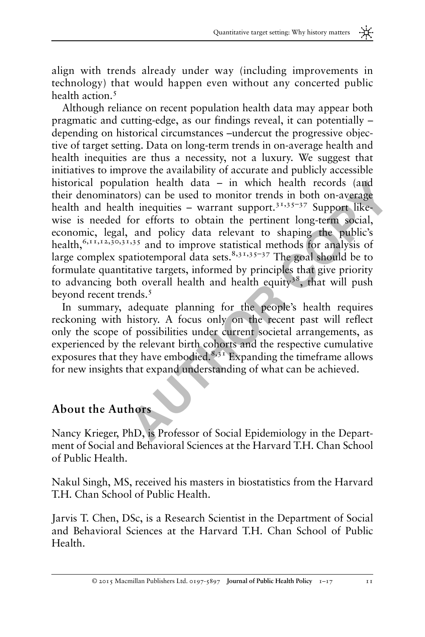align with trends already under way (including improvements in technology) that would happen even without any concerted public health action.<sup>5</sup>

population health data – in which health records (and<br>minimators) can be used to monitor trends in both on-average<br>d health inequities – warrant support.<sup>3,1,35-37</sup> Support like-<br>eeded for efforts to obtain the pertinent l Although reliance on recent population health data may appear both pragmatic and cutting-edge, as our findings reveal, it can potentially – depending on historical circumstances –undercut the progressive objective of target setting. Data on long-term trends in on-average health and health inequities are thus a necessity, not a luxury. We suggest that initiatives to improve the availability of accurate and publicly accessible historical population health data – in which health records (and their denominators) can be used to monitor trends in both on-average health and health inequities – warrant support.<sup>31,35–37</sup> Support likewise is needed for efforts to obtain the pertinent long-term social, economic, legal, and policy data relevant to shaping the public's health,<sup>6,11,12,30,31,35</sup> and to improve statistical methods for analysis of large complex spatiotemporal data sets. $8,31,35-37$  The goal should be to formulate quantitative targets, informed by principles that give priority to advancing both overall health and health equity<sup>38</sup>, that will push beyond recent trends.<sup>5</sup>

In summary, adequate planning for the people's health requires reckoning with history. A focus only on the recent past will reflect only the scope of possibilities under current societal arrangements, as experienced by the relevant birth cohorts and the respective cumulative exposures that they have embodied.<sup>8,31</sup> Expanding the timeframe allows for new insights that expand understanding of what can be achieved.

# About the Authors

Nancy Krieger, PhD, is Professor of Social Epidemiology in the Department of Social and Behavioral Sciences at the Harvard T.H. Chan School of Public Health.

Nakul Singh, MS, received his masters in biostatistics from the Harvard T.H. Chan School of Public Health.

Jarvis T. Chen, DSc, is a Research Scientist in the Department of Social and Behavioral Sciences at the Harvard T.H. Chan School of Public Health.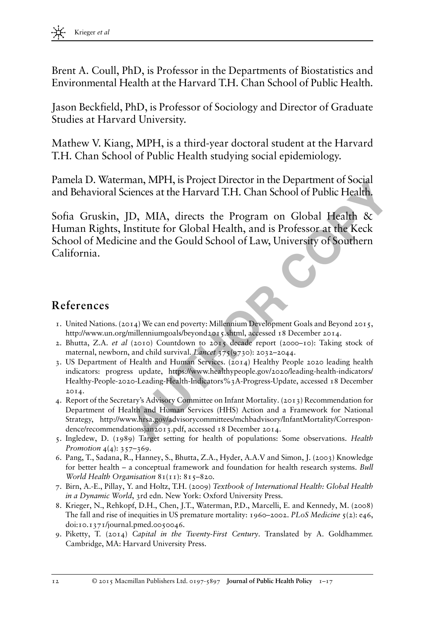Brent A. Coull, PhD, is Professor in the Departments of Biostatistics and Environmental Health at the Harvard T.H. Chan School of Public Health.

Jason Beckfield, PhD, is Professor of Sociology and Director of Graduate Studies at Harvard University.

Mathew V. Kiang, MPH, is a third-year doctoral student at the Harvard T.H. Chan School of Public Health studying social epidemiology.

Pamela D. Waterman, MPH, is Project Director in the Department of Social and Behavioral Sciences at the Harvard T.H. Chan School of Public Health.

**Waterman, NHTT, IS Troject Direct Direct Direct Direct Direct Direct Direct Direct Direct Direct Direct Direct Direct Direct Direct Direct Direct Direct Direct Direct Direct Direct Direct Direct Direct Direct Direct Direc** Sofia Gruskin, JD, MIA, directs the Program on Global Health & Human Rights, Institute for Global Health, and is Professor at the Keck School of Medicine and the Gould School of Law, University of Southern California.

## References

- 1. United Nations. (2014) We can end poverty: Millennium Development Goals and Beyond 2015, <http://www.un.org/millenniumgoals/beyond2015.shtml>, accessed 18 December 2014.
- 2. Bhutta, Z.A. et al (2010) Countdown to 2015 decade report (2000–10): Taking stock of maternal, newborn, and child survival. *Lancet* 375(9730): 2032-2044.
- 3. US Department of Health and Human Services. (2014) Healthy People 2020 leading health indicators: progress update, https://www.healthypeople.gov/2020/leading-health-indicators/ [Healthy-People-2020-Leading-Health-Indicators%3A-Progress-Update,](https://www.healthypeople.gov/2020/leading-health-indicators/Healthy-People-2020-Leading-Health-Indicators%3A-Progress-Update) accessed 18 December 2014.
- 4. Report of the Secretary's Advisory Committee on Infant Mortality. (2013) Recommendation for Department of Health and Human Services (HHS) Action and a Framework for National Strategy, [http://www.hrsa.gov/advisorycommittees/mchbadvisory/InfantMortality/Correspon](http://www.hrsa.gov/advisorycommittees/mchbadvisory/InfantMortality/Correspondence/recommendationsjan2013.pdf)[dence/recommendationsjan2013.pdf](http://www.hrsa.gov/advisorycommittees/mchbadvisory/InfantMortality/Correspondence/recommendationsjan2013.pdf), accessed 18 December 2014.
- 5. Ingledew, D. (1989) Target setting for health of populations: Some observations. Health Promotion 4(4): 357-369.
- 6. Pang, T., Sadana, R., Hanney, S., Bhutta, Z.A., Hyder, A.A.V and Simon, J. (2003) Knowledge for better health – a conceptual framework and foundation for health research systems. Bull World Health Organisation 81(11): 815–820.
- 7. Birn, A.-E., Pillay, Y. and Holtz, T.H. (2009) Textbook of International Health: Global Health in a Dynamic World, 3rd edn. New York: Oxford University Press.
- 8. Krieger, N., Rehkopf, D.H., Chen, J.T., Waterman, P.D., Marcelli, E. and Kennedy, M. (2008) The fall and rise of inequities in US premature mortality: 1960–2002. PLoS Medicine  $5(2)$ : e46, doi[:10.1371/journal.pmed.0050046](http://dx.doi.org/10.1371/journal.pmed.0050046).
- 9. Piketty, T. (2014) Capital in the Twenty-First Century. Translated by A. Goldhammer. Cambridge, MA: Harvard University Press.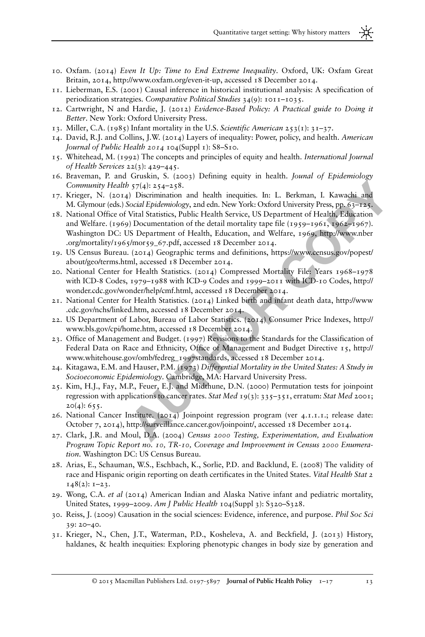- 10. Oxfam. (2014) Even It Up: Time to End Extreme Inequality. Oxford, UK: Oxfam Great Britain, 2014, [http://www.oxfam.org/even-it-up,](http://www.oxfam.org/even-it-up) accessed 18 December 2014.
- 11. Lieberman, E.S. (2001) Causal inference in historical institutional analysis: A specification of periodization strategies. Comparative Political Studies 34(9): 1011–1035.
- 12. Cartwright, N and Hardie, J. (2012) Evidence-Based Policy: A Practical guide to Doing it Better. New York: Oxford University Press.
- 13. Miller, C.A. (1985) Infant mortality in the U.S. Scientific American  $253(1)$ :  $31-37$ .
- 14. David, R.J. and Collins, J.W. (2014) Layers of inequality: Power, policy, and health. American Journal of Public Health 2014 104(Suppl 1): S8–S10.
- 15. Whitehead, M. (1992) The concepts and principles of equity and health. International Journal of Health Services 22(3): 429–445.
- 16. Braveman, P. and Gruskin, S. (2003) Defining equity in health. Jounal of Epidemiology Community Health  $57(4)$ : 254–258.
- 17. Krieger, N. (2014) Discrimination and health inequities. In: L. Berkman, I. Kawachi and M. Glymour (eds.) Social Epidemiology, 2nd edn. New York: Oxford University Press, pp. 63–125.
- **Eny Health 57(4):** 254–258.<br> **Eny Health 57(4):** 254–258.<br> **Eny Health Spacing Transmission** and health inequities. In: L. Berkman, L. Kawachi and<br>
Dut (eds.) Social Epidemiology, and edn. New York: Oxford University [P](http://www.nber.org/mortality/1965/mor59_67.pdf)res 18. National Office of Vital Statistics, Public Health Service, US Department of Health, Education and Welfare. (1969) Documentation of the detail mortality tape file (1959–1961, 1962–1967). Washington DC: US Department of Health, Education, and Welfare, 1969, http://www.nber [.org/mortality/1965/mor59\\_67.pdf,](http://www.nber.org/mortality/1965/mor59_67.pdf) accessed 18 December 2014.
- 19. US Census Bureau. (2014) Geographic terms and definitions, https://www.census.gov/popest/ [about/geo/terms.html](https://www.census.gov/popest/about/geo/terms.html), accessed 18 December 2014.
- 20. National Center for Health Statistics. (2014) Compressed Mortality File: Years 1968–1978 with ICD-8 Codes, 1979–1988 with ICD-9 Codes and 1999–2011 with ICD-10 Codes, http:// [wonder.cdc.gov/wonder/help/cmf.html,](http://wonder.cdc.gov/wonder/help/cmf.html) accessed 18 December 2014.
- 21. National Center for Health Statistics. (2014) Linked birth and infant death data, http://www [.cdc.gov/nchs/linked.htm,](http://www.cdc.gov/nchs/linked.htm) accessed 18 December 2014.
- 22. US Department of Labor, Bureau of Labor Statistics. (2014) Consumer Price Indexes, http:// [www.bls.gov/cpi/home.htm](http://www.bls.gov/cpi/home.htm), accessed 18 December 2014.
- 23. Office of Management and Budget. (1997) Revisions to the Standards for the Classification of Federal Data on Race and Ethnicity, Office of Management and Budget Directive 15, http:// [www.whitehouse.gov/omb/fedreg\\_1997standards](http://www.whitehouse.gov/omb/fedreg_1997standards), accessed 18 December 2014.
- 24. Kitagawa, E.M. and Hauser, P.M. (1973) Differential Mortality in the United States: A Study in Socioeconomic Epidemiology. Cambridge, MA: Harvard University Press.
- 25. Kim, H.J., Fay, M.P., Feuer, E.J. and Midthune, D.N. (2000) Permutation tests for joinpoint regression with applications to cancer rates. Stat Med 19(3):  $335-351$ , erratum: Stat Med 2001;  $20(4): 655.$
- 26. National Cancer Institute. (2014) Joinpoint regression program (ver 4.1.1.1.; release date: October 7, 2014), http://surveillance.cancer.gov/joinpoint/, accessed 18 December 2014.
- 27. Clark, J.R. and Moul, D.A. (2004) Census 2000 Testing, Experimentation, and Evaluation Program Topic Report no. 10, TR-10, Coverage and Improvement in Census 2000 Enumeration. Washington DC: US Census Bureau.
- 28. Arias, E., Schauman, W.S., Eschbach, K., Sorlie, P.D. and Backlund, E. (2008) The validity of race and Hispanic origin reporting on death certificates in the United States. Vital Health Stat 2  $148(2): 1-23.$
- 29. Wong, C.A. et al  $(2014)$  American Indian and Alaska Native infant and pediatric mortality, United States, 1999–2009. Am J Public Health 104(Suppl 3): S320–S328.
- 30. Reiss, J. (2009) Causation in the social sciences: Evidence, inference, and purpose. Phil Soc Sci 39: 20–40.
- 31. Krieger, N., Chen, J.T., Waterman, P.D., Kosheleva, A. and Beckfield, J. (2013) History, haldanes, & health inequities: Exploring phenotypic changes in body size by generation and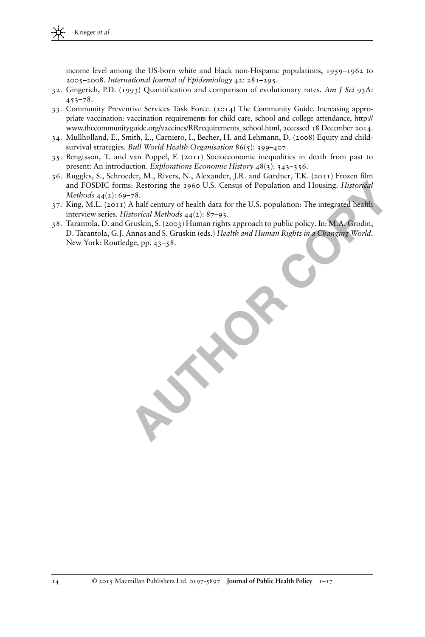income level among the US-born white and black non-Hispanic populations, 1959–1962 to 2005–2008. International Journal of Epidemiology 42: 281–295.

- 32. Gingerich, P.D. (1993) Quantification and comparison of evolutionary rates. Am J Sci 93A: 453–78.
- 33. Community Preventive Services Task Force. (2014) The Community Guide. Increasing appropriate vaccination: vaccination requirements for child care, school and college attendance, [http://](http://www.thecommunityguide.org/vaccines/RRrequirements_school.html) [www.thecommunityguide.org/vaccines/RRrequirements\\_school.html,](http://www.thecommunityguide.org/vaccines/RRrequirements_school.html) accessed 18 December 2014.
- 34. Mullholland, E., Smith, L., Carniero, I., Becher, H. and Lehmann, D. (2008) Equity and childsurvival strategies. Bull World Health Organisation 86(5): 399-407.
- 35. Bengtsson, T. and van Poppel, F. (2011) Socioeconomic inequalities in death from past to present: An introduction. Explorations Economic History 48(3): 343–356.
- 36. Ruggles, S., Schroeder, M., Rivers, N., Alexander, J.R. and Gardner, T.K. (2011) Frozen film and FOSDIC forms: Restoring the 1960 U.S. Census of Population and Housing. Historical Methods 44(2): 69–78.
- 37. King, M.L. (2011) A half century of health data for the U.S. population: The integrated health interview series. Historical Methods 44(2): 87–93.
- DIC forms: Restoring the 1960 U.S. Census of Population and Housing*, Historical*<br>44(2): 69–78.<br>L. (2011) A half century of health data for the U.S. population: The integrated health<br>L. (2011) A half century of health data 38. Tarantola, D. and Gruskin, S. (2003) Human rights approach to public policy. In: M.A. Grodin, D. Tarantola, G.J. Annas and S. Gruskin (eds.) Health and Human Rights in a Changing World. New York: Routledge, pp. 43–58.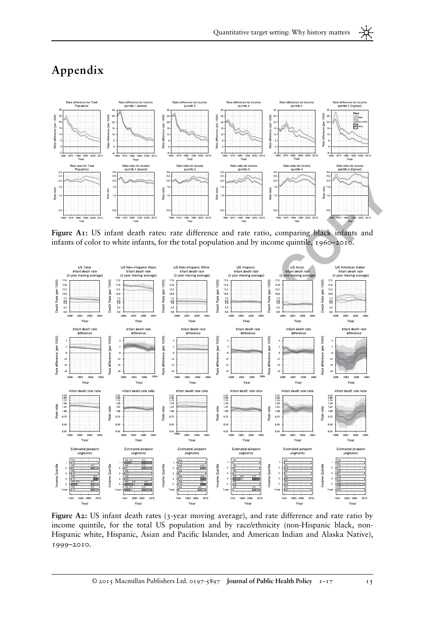<span id="page-14-0"></span>



Figure A1: US infant death rates: rate difference and rate ratio, comparing black infants and infants of color to white infants, for the total population and by income quintile, 1960–2010.



Figure A2: US infant death rates (3-year moving average), and rate difference and rate ratio by income quintile, for the total US population and by race/ethnicity (non-Hispanic black, non-Hispanic white, Hispanic, Asian and Pacific Islander, and American Indian and Alaska Native), 1999–2010.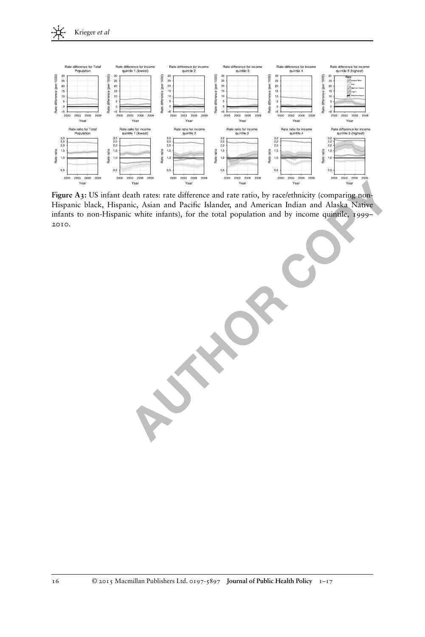

 **AUTHOR COPY** Figure A3: US infant death rates: rate difference and rate ratio, by race/ethnicity (comparing non-Hispanic black, Hispanic, Asian and Pacific Islander, and American Indian and Alaska Native infants to non-Hispanic white infants), for the total population and by income quintile, 1999– 2010.